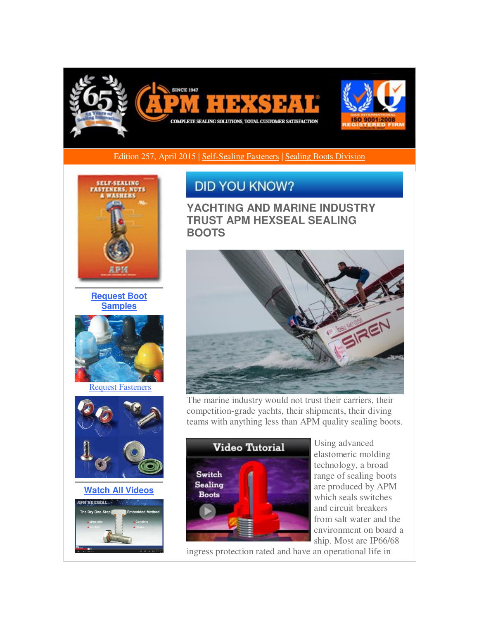

Edition 257, April 2015 | [Self-Sealing Fasteners](http://r20.rs6.net/tn.jsp?f=0010kLJ-tSdz63obX6m8nq5Kj3uZAb1c02aSxtWXD9TqBTdbeIotyZcyz31RCtak_XLc7-_rqj047Ze1Zh13UKOoCbfBSmustYx9Ay0AW9_OI9_rHJ5kJMkLDjL_XETO0eK6IAizzjldo6y6Im6gScaMMW72eh-1uNkEPtDlcXil_Bh6_TIWGTtGbKpEcqAUPRIb5-_DntEgTfvheyMKC_7dzWwylgxv0kj42iNRaZLqYVhum7chadc7tCTzzRnBhs27tkgwmXscXJmGLhE4aWROfrk3in3M0gEX1w0cn9D1JgIGdaNVZ8_KLcgptFdHm_C&c=nVgDzTYvMeBgoOZfdlOYBsKwu2qKdzzyYnXfMQFC5mHCAehDbUp_pA==&ch=npYNPp5DrC_sz4xepYSwXv1YF0COi3siW9Qd6dCbZ38euX47XUyR5Q==) [| Sealing Boots Division](http://r20.rs6.net/tn.jsp?f=0010kLJ-tSdz63obX6m8nq5Kj3uZAb1c02aSxtWXD9TqBTdbeIotyZcyz31RCtak_XLV6SNMsP2v-MpX3Unho0YumC4BBavSo_bwp4ZAAWf43E0F6vwGhceS8LG6J16a4gHK_Gj993diAjCdcQFzMHr-Y9WvsbuJdaepGd9r3L3wzkUkbQnwfDQl0mYdQ5gL9zgPiDkwJUz6Ko0yglEBf-NlNYMltJHugE4S6lPLtYV0ZRkxa1T_tq9s-iROqrf_qKiBFGmFl8xWmlN37700kE_APP7fKdY1gVkXcvIBbwii6Nm09kTInT_QQ==&c=nVgDzTYvMeBgoOZfdlOYBsKwu2qKdzzyYnXfMQFC5mHCAehDbUp_pA==&ch=npYNPp5DrC_sz4xepYSwXv1YF0COi3siW9Qd6dCbZ38euX47XUyR5Q==) 



**[Request Boot](http://r20.rs6.net/tn.jsp?f=0010kLJ-tSdz63obX6m8nq5Kj3uZAb1c02aSxtWXD9TqBTdbeIotyZcyz31RCtak_XLKH34Os9dLfstqzwVX1ouj2T9jwBlxp23Uf16mBmK-XYrzYrD7RNmGitkmjeVn50fVmk_qwQAgvN7bJPf1XSU-rsMBISMRUi-B7XDqZXQ7jiV9r_ybfVew4oWZXNKaOjWsiv0XCz84gCVwRqy3SeN204JN309ReQHbTuxF8hGVPGgRPQ1sIe1haDGOsx-PUci0lkgC0Knz471MARjYrmhef-z6lrKaTTI7VsYOqcE62RIHADmhWf4K6pPiG2Yko9iDrbR5FeMlak=&c=nVgDzTYvMeBgoOZfdlOYBsKwu2qKdzzyYnXfMQFC5mHCAehDbUp_pA==&ch=npYNPp5DrC_sz4xepYSwXv1YF0COi3siW9Qd6dCbZ38euX47XUyR5Q==)  [Samples](http://r20.rs6.net/tn.jsp?f=0010kLJ-tSdz63obX6m8nq5Kj3uZAb1c02aSxtWXD9TqBTdbeIotyZcyz31RCtak_XLKH34Os9dLfstqzwVX1ouj2T9jwBlxp23Uf16mBmK-XYrzYrD7RNmGitkmjeVn50fVmk_qwQAgvN7bJPf1XSU-rsMBISMRUi-B7XDqZXQ7jiV9r_ybfVew4oWZXNKaOjWsiv0XCz84gCVwRqy3SeN204JN309ReQHbTuxF8hGVPGgRPQ1sIe1haDGOsx-PUci0lkgC0Knz471MARjYrmhef-z6lrKaTTI7VsYOqcE62RIHADmhWf4K6pPiG2Yko9iDrbR5FeMlak=&c=nVgDzTYvMeBgoOZfdlOYBsKwu2qKdzzyYnXfMQFC5mHCAehDbUp_pA==&ch=npYNPp5DrC_sz4xepYSwXv1YF0COi3siW9Qd6dCbZ38euX47XUyR5Q==)**



[Request Fasteners](http://r20.rs6.net/tn.jsp?f=0010kLJ-tSdz63obX6m8nq5Kj3uZAb1c02aSxtWXD9TqBTdbeIotyZcyz31RCtak_XL8PFvobL7DpGOFGOvhjMsSjJFI0nyZzYPEWx-nHl20WwpJ1goeCyK8rCL27YJmrE-MIK4dYtmYP1X58bvho82MllcjkqaLUI9wzlt3AON-7MHHOOIvAwNZ2-jb1RY8oO-dUZrE97mPKShbs-X8Q7lnvDwelocYim2BDLC0bVq88xURk6pcMz1D-YYfwYdM4zUw0MOnU_gHWGviJiv7nrGzJ4YQc6mJOslZcrU8LjAKdro7GZUOoeuEg==&c=nVgDzTYvMeBgoOZfdlOYBsKwu2qKdzzyYnXfMQFC5mHCAehDbUp_pA==&ch=npYNPp5DrC_sz4xepYSwXv1YF0COi3siW9Qd6dCbZ38euX47XUyR5Q==)



**[Watch All Videos](http://r20.rs6.net/tn.jsp?f=0010kLJ-tSdz63obX6m8nq5Kj3uZAb1c02aSxtWXD9TqBTdbeIotyZcyz31RCtak_XLSJmkuWS6c8DMrO1_sNxGQWfWWMCgRwmirwRrIXdYTnGr8353OQ4c7-V9Z3NX4BDaPfiSBIfXKKY2iq_iwJp90xv8W98vO0a_6VQzk_x-4OJm18fsiiFIzVDE2a05GwzGcZ5tRigSp9CdyDduzmoGaU923oZl0GMZrPl7zuqdyoqNjAlQKznbp4f_CRsOUytqmPd-UiHZuLVLxYAYqC9MnVl-uG3ZHlyJYa-2wmdHEnk=&c=nVgDzTYvMeBgoOZfdlOYBsKwu2qKdzzyYnXfMQFC5mHCAehDbUp_pA==&ch=npYNPp5DrC_sz4xepYSwXv1YF0COi3siW9Qd6dCbZ38euX47XUyR5Q==)**



## **DID YOU KNOW?**

**YACHTING AND MARINE INDUSTRY TRUST APM HEXSEAL SEALING BOOTS** 



The marine industry would not trust their carriers, their competition-grade yachts, their shipments, their diving teams with anything less than APM quality sealing boots.



Using advanced elastomeric molding technology, a broad range of sealing boots are produced by APM which seals switches and circuit breakers from salt water and the environment on board a ship. Most are IP66/68

ingress protection rated and have an operational life in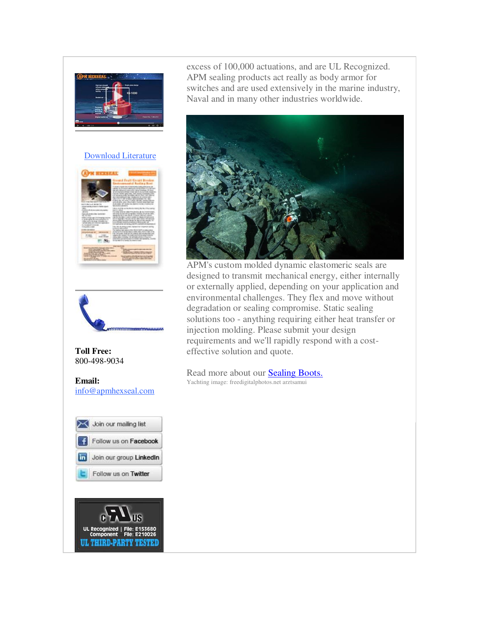

## [Download Literature](http://r20.rs6.net/tn.jsp?f=0010kLJ-tSdz63obX6m8nq5Kj3uZAb1c02aSxtWXD9TqBTdbeIotyZcyz31RCtak_XLzcnXXb4nkNmofuBtNWoBJJEvtgOBFz7UWkEytTd10U5yHb1U3_uTYb1rbWjEjLlBZdBOSzBQZfsDHLwjpuiZtAQLb4qEqvBvuqqPmQ1tMaTqwjFJVZ28EfefZxa4UUa4JgbNJkefHBkogDgT82uun3ovXamI2PpLtKeOS88kVNyj5hSGZumRmiAq2wGjrB-Id6vFQQIYU70fKwuuMlEiYdCcs1TQhCCYD0PY_UrOI_k=&c=nVgDzTYvMeBgoOZfdlOYBsKwu2qKdzzyYnXfMQFC5mHCAehDbUp_pA==&ch=npYNPp5DrC_sz4xepYSwXv1YF0COi3siW9Qd6dCbZ38euX47XUyR5Q==)





## **Toll Free:**  800-498-9034

**Email:** [info@apmhexseal.com](mailto:info@apmhexseal.com)



UL Recognized | File:<br>Component File: **UL THIRD-PARTY TESTED**  excess of 100,000 actuations, and are UL Recognized. APM sealing products act really as body armor for switches and are used extensively in the marine industry, Naval and in many other industries worldwide.



APM's custom molded dynamic elastomeric seals are designed to transmit mechanical energy, either internally or externally applied, depending on your application and environmental challenges. They flex and move without degradation or sealing compromise. Static sealing solutions too - anything requiring either heat transfer or injection molding. Please submit your design requirements and we'll rapidly respond with a costeffective solution and quote.

## Read more about our [Sealing Boots.](http://r20.rs6.net/tn.jsp?f=0010kLJ-tSdz63obX6m8nq5Kj3uZAb1c02aSxtWXD9TqBTdbeIotyZcyz31RCtak_XLV6SNMsP2v-MpX3Unho0YumC4BBavSo_bwp4ZAAWf43E0F6vwGhceS8LG6J16a4gHK_Gj993diAjCdcQFzMHr-Y9WvsbuJdaepGd9r3L3wzkUkbQnwfDQl0mYdQ5gL9zgPiDkwJUz6Ko0yglEBf-NlNYMltJHugE4S6lPLtYV0ZRkxa1T_tq9s-iROqrf_qKiBFGmFl8xWmlN37700kE_APP7fKdY1gVkXcvIBbwii6Nm09kTInT_QQ==&c=nVgDzTYvMeBgoOZfdlOYBsKwu2qKdzzyYnXfMQFC5mHCAehDbUp_pA==&ch=npYNPp5DrC_sz4xepYSwXv1YF0COi3siW9Qd6dCbZ38euX47XUyR5Q==) Yachting image: freedigitalphotos.net arztsamui